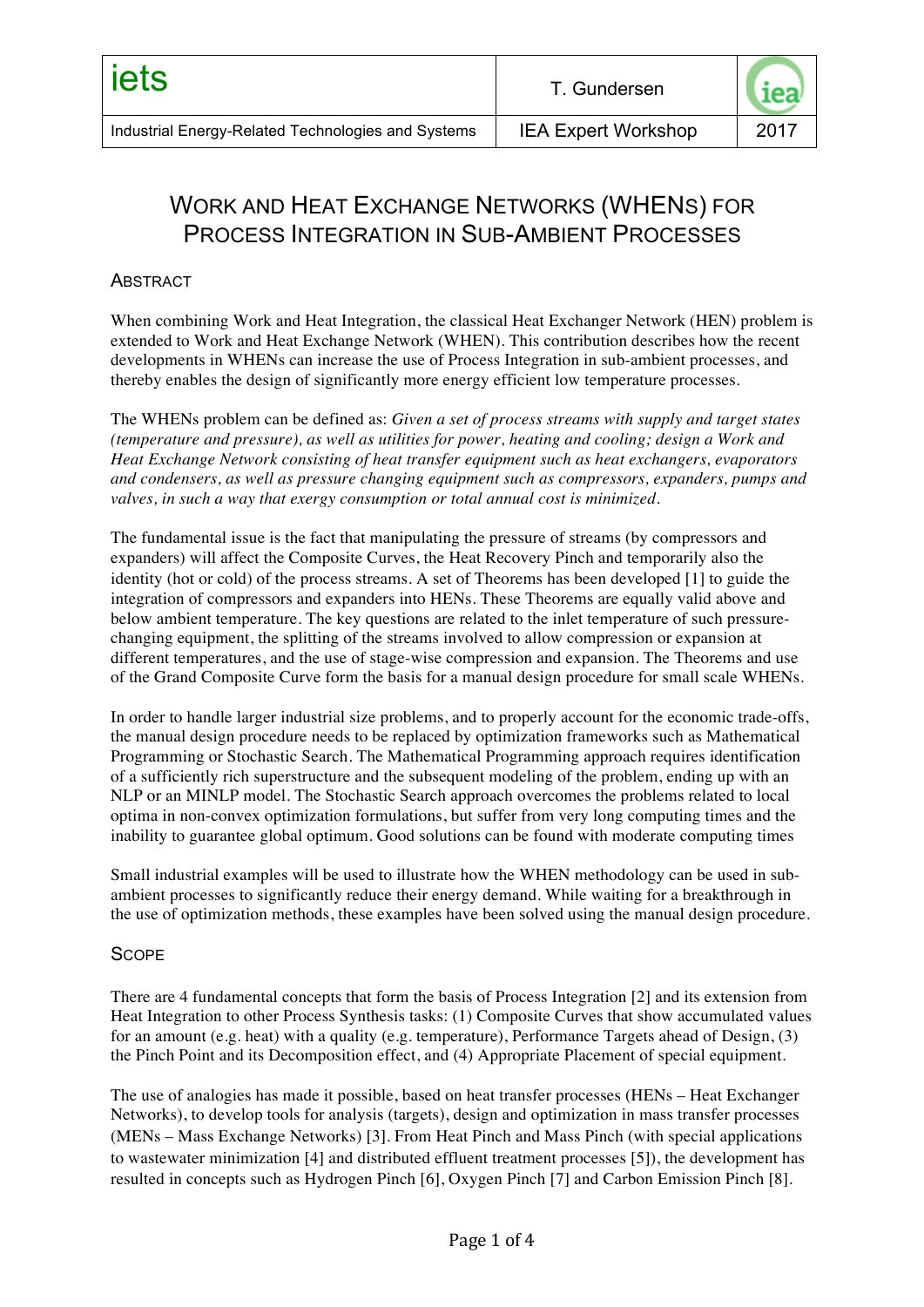# WORK AND HEAT EXCHANGE NETWORKS (WHENS) FOR PROCESS INTEGRATION IN SUB-AMBIENT PROCESSES

### **ABSTRACT**

When combining Work and Heat Integration, the classical Heat Exchanger Network (HEN) problem is extended to Work and Heat Exchange Network (WHEN). This contribution describes how the recent developments in WHENs can increase the use of Process Integration in sub-ambient processes, and thereby enables the design of significantly more energy efficient low temperature processes.

The WHENs problem can be defined as: *Given a set of process streams with supply and target states (temperature and pressure), as well as utilities for power, heating and cooling; design a Work and Heat Exchange Network consisting of heat transfer equipment such as heat exchangers, evaporators and condensers, as well as pressure changing equipment such as compressors, expanders, pumps and valves, in such a way that exergy consumption or total annual cost is minimized*.

The fundamental issue is the fact that manipulating the pressure of streams (by compressors and expanders) will affect the Composite Curves, the Heat Recovery Pinch and temporarily also the identity (hot or cold) of the process streams. A set of Theorems has been developed [1] to guide the integration of compressors and expanders into HENs. These Theorems are equally valid above and below ambient temperature. The key questions are related to the inlet temperature of such pressurechanging equipment, the splitting of the streams involved to allow compression or expansion at different temperatures, and the use of stage-wise compression and expansion. The Theorems and use of the Grand Composite Curve form the basis for a manual design procedure for small scale WHENs.

In order to handle larger industrial size problems, and to properly account for the economic trade-offs, the manual design procedure needs to be replaced by optimization frameworks such as Mathematical Programming or Stochastic Search. The Mathematical Programming approach requires identification of a sufficiently rich superstructure and the subsequent modeling of the problem, ending up with an NLP or an MINLP model. The Stochastic Search approach overcomes the problems related to local optima in non-convex optimization formulations, but suffer from very long computing times and the inability to guarantee global optimum. Good solutions can be found with moderate computing times

Small industrial examples will be used to illustrate how the WHEN methodology can be used in subambient processes to significantly reduce their energy demand. While waiting for a breakthrough in the use of optimization methods, these examples have been solved using the manual design procedure.

### **SCOPE**

There are 4 fundamental concepts that form the basis of Process Integration [2] and its extension from Heat Integration to other Process Synthesis tasks: (1) Composite Curves that show accumulated values for an amount (e.g. heat) with a quality (e.g. temperature), Performance Targets ahead of Design, (3) the Pinch Point and its Decomposition effect, and (4) Appropriate Placement of special equipment.

The use of analogies has made it possible, based on heat transfer processes (HENs – Heat Exchanger Networks), to develop tools for analysis (targets), design and optimization in mass transfer processes (MENs – Mass Exchange Networks) [3]. From Heat Pinch and Mass Pinch (with special applications to wastewater minimization [4] and distributed effluent treatment processes [5]), the development has resulted in concepts such as Hydrogen Pinch [6], Oxygen Pinch [7] and Carbon Emission Pinch [8].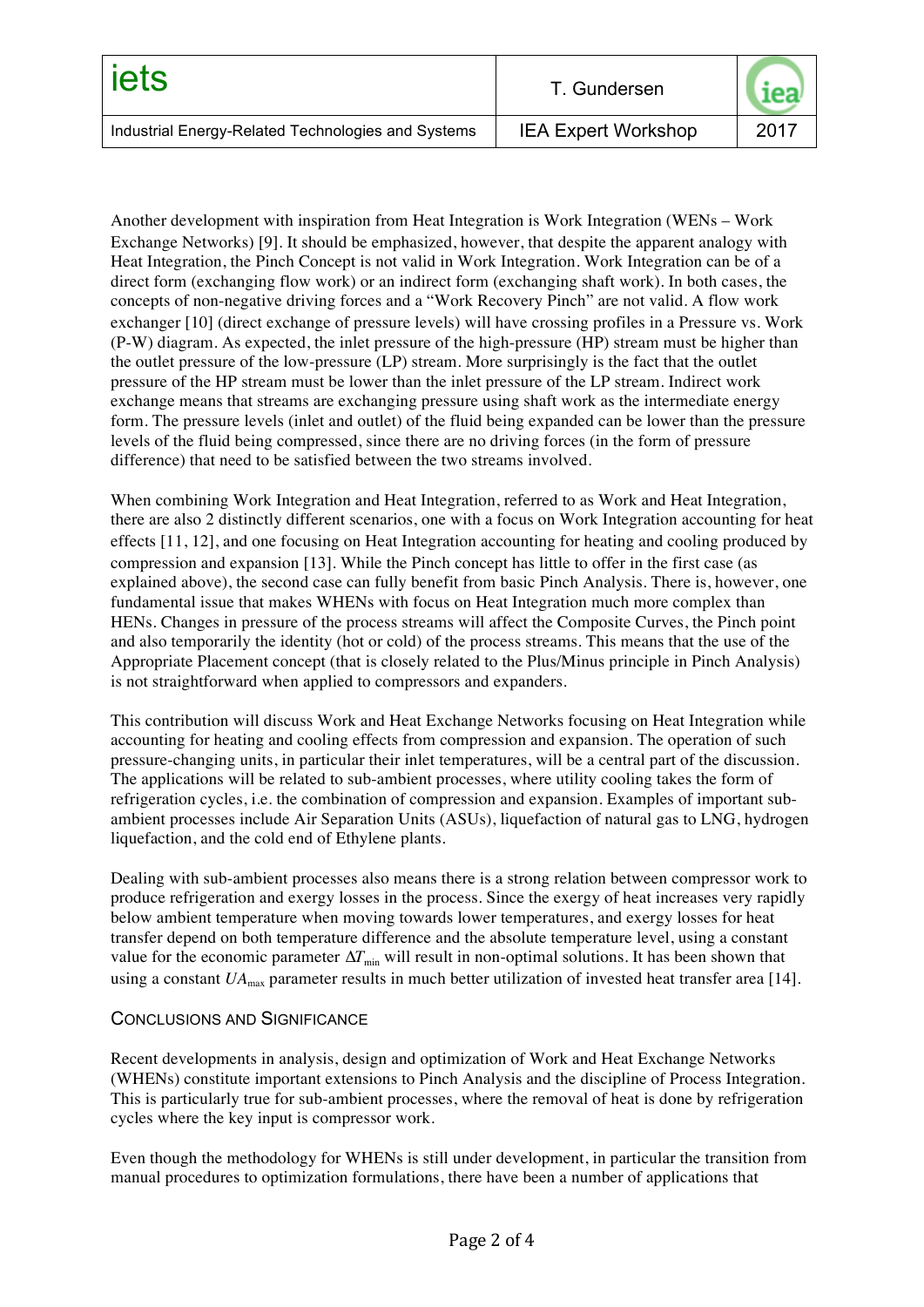| iets                                               | T. Gundersen               |      |
|----------------------------------------------------|----------------------------|------|
| Industrial Energy-Related Technologies and Systems | <b>IEA Expert Workshop</b> | 2017 |

Another development with inspiration from Heat Integration is Work Integration (WENs – Work Exchange Networks) [9]. It should be emphasized, however, that despite the apparent analogy with Heat Integration, the Pinch Concept is not valid in Work Integration. Work Integration can be of a direct form (exchanging flow work) or an indirect form (exchanging shaft work). In both cases, the concepts of non-negative driving forces and a "Work Recovery Pinch" are not valid. A flow work exchanger [10] (direct exchange of pressure levels) will have crossing profiles in a Pressure vs. Work (P-W) diagram. As expected, the inlet pressure of the high-pressure (HP) stream must be higher than the outlet pressure of the low-pressure (LP) stream. More surprisingly is the fact that the outlet pressure of the HP stream must be lower than the inlet pressure of the LP stream. Indirect work exchange means that streams are exchanging pressure using shaft work as the intermediate energy form. The pressure levels (inlet and outlet) of the fluid being expanded can be lower than the pressure levels of the fluid being compressed, since there are no driving forces (in the form of pressure difference) that need to be satisfied between the two streams involved.

When combining Work Integration and Heat Integration, referred to as Work and Heat Integration, there are also 2 distinctly different scenarios, one with a focus on Work Integration accounting for heat effects [11, 12], and one focusing on Heat Integration accounting for heating and cooling produced by compression and expansion [13]. While the Pinch concept has little to offer in the first case (as explained above), the second case can fully benefit from basic Pinch Analysis. There is, however, one fundamental issue that makes WHENs with focus on Heat Integration much more complex than HENs. Changes in pressure of the process streams will affect the Composite Curves, the Pinch point and also temporarily the identity (hot or cold) of the process streams. This means that the use of the Appropriate Placement concept (that is closely related to the Plus/Minus principle in Pinch Analysis) is not straightforward when applied to compressors and expanders.

This contribution will discuss Work and Heat Exchange Networks focusing on Heat Integration while accounting for heating and cooling effects from compression and expansion. The operation of such pressure-changing units, in particular their inlet temperatures, will be a central part of the discussion. The applications will be related to sub-ambient processes, where utility cooling takes the form of refrigeration cycles, i.e. the combination of compression and expansion. Examples of important subambient processes include Air Separation Units (ASUs), liquefaction of natural gas to LNG, hydrogen liquefaction, and the cold end of Ethylene plants.

Dealing with sub-ambient processes also means there is a strong relation between compressor work to produce refrigeration and exergy losses in the process. Since the exergy of heat increases very rapidly below ambient temperature when moving towards lower temperatures, and exergy losses for heat transfer depend on both temperature difference and the absolute temperature level, using a constant value for the economic parameter  $\Delta T_{\text{min}}$  will result in non-optimal solutions. It has been shown that using a constant  $UA_{\text{max}}$  parameter results in much better utilization of invested heat transfer area [14].

#### CONCLUSIONS AND SIGNIFICANCE

Recent developments in analysis, design and optimization of Work and Heat Exchange Networks (WHENs) constitute important extensions to Pinch Analysis and the discipline of Process Integration. This is particularly true for sub-ambient processes, where the removal of heat is done by refrigeration cycles where the key input is compressor work.

Even though the methodology for WHENs is still under development, in particular the transition from manual procedures to optimization formulations, there have been a number of applications that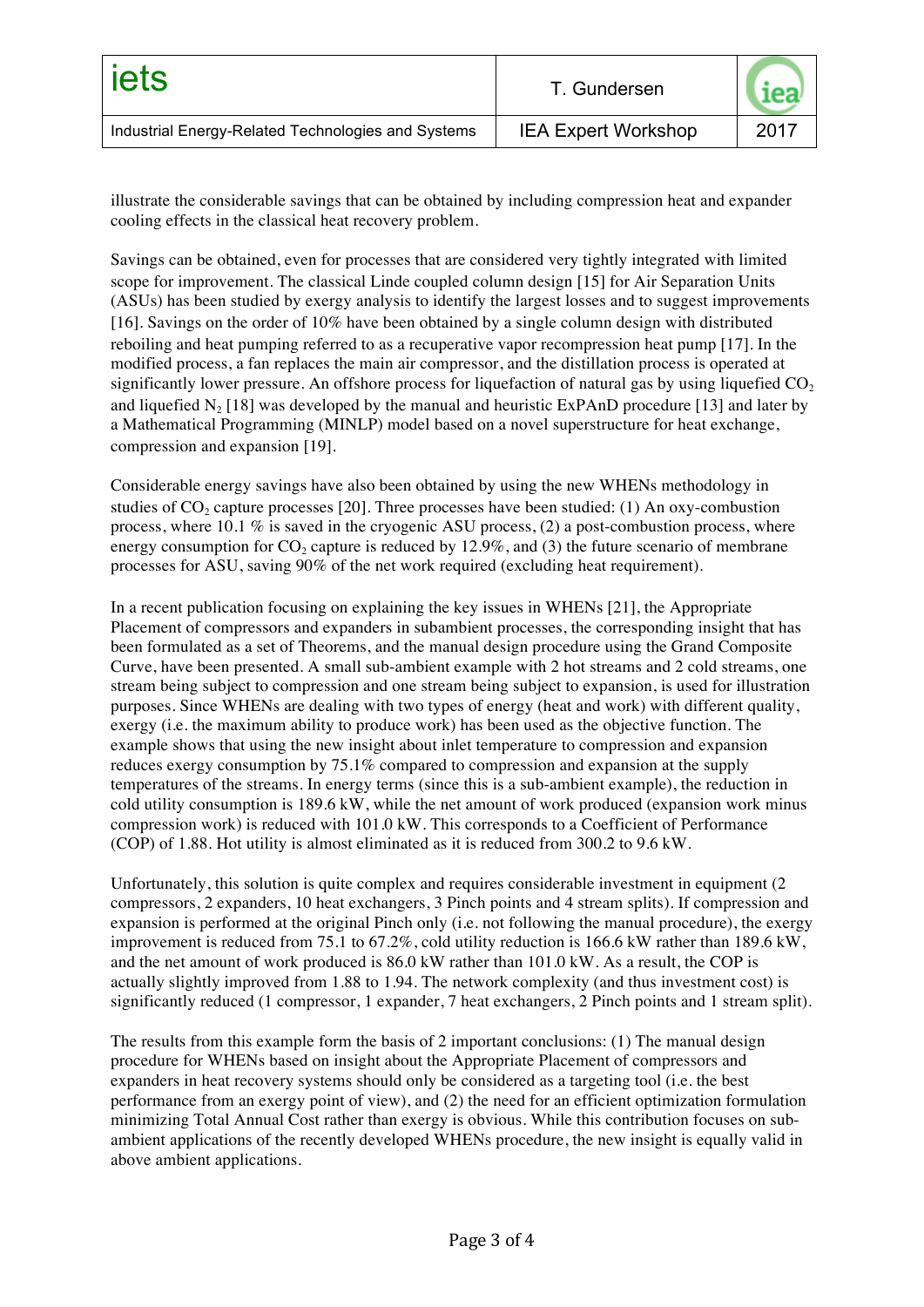| liets                                              | T. Gundersen               |      |
|----------------------------------------------------|----------------------------|------|
| Industrial Energy-Related Technologies and Systems | <b>IEA Expert Workshop</b> | 2017 |

illustrate the considerable savings that can be obtained by including compression heat and expander cooling effects in the classical heat recovery problem.

Savings can be obtained, even for processes that are considered very tightly integrated with limited scope for improvement. The classical Linde coupled column design [15] for Air Separation Units (ASUs) has been studied by exergy analysis to identify the largest losses and to suggest improvements [16]. Savings on the order of 10% have been obtained by a single column design with distributed reboiling and heat pumping referred to as a recuperative vapor recompression heat pump [17]. In the modified process, a fan replaces the main air compressor, and the distillation process is operated at significantly lower pressure. An offshore process for liquefaction of natural gas by using liquefied  $CO<sub>2</sub>$ and liquefied N<sub>2</sub> [18] was developed by the manual and heuristic ExPAnD procedure [13] and later by a Mathematical Programming (MINLP) model based on a novel superstructure for heat exchange, compression and expansion [19].

Considerable energy savings have also been obtained by using the new WHENs methodology in studies of  $CO<sub>2</sub>$  capture processes [20]. Three processes have been studied: (1) An oxy-combustion process, where 10.1  $\%$  is saved in the cryogenic ASU process, (2) a post-combustion process, where energy consumption for  $CO_2$  capture is reduced by 12.9%, and (3) the future scenario of membrane processes for ASU, saving 90% of the net work required (excluding heat requirement).

In a recent publication focusing on explaining the key issues in WHENs [21], the Appropriate Placement of compressors and expanders in subambient processes, the corresponding insight that has been formulated as a set of Theorems, and the manual design procedure using the Grand Composite Curve, have been presented. A small sub-ambient example with 2 hot streams and 2 cold streams, one stream being subject to compression and one stream being subject to expansion, is used for illustration purposes. Since WHENs are dealing with two types of energy (heat and work) with different quality, exergy (i.e. the maximum ability to produce work) has been used as the objective function. The example shows that using the new insight about inlet temperature to compression and expansion reduces exergy consumption by 75.1% compared to compression and expansion at the supply temperatures of the streams. In energy terms (since this is a sub-ambient example), the reduction in cold utility consumption is 189.6 kW, while the net amount of work produced (expansion work minus compression work) is reduced with 101.0 kW. This corresponds to a Coefficient of Performance (COP) of 1.88. Hot utility is almost eliminated as it is reduced from 300.2 to 9.6 kW.

Unfortunately, this solution is quite complex and requires considerable investment in equipment (2 compressors, 2 expanders, 10 heat exchangers, 3 Pinch points and 4 stream splits). If compression and expansion is performed at the original Pinch only (i.e. not following the manual procedure), the exergy improvement is reduced from 75.1 to 67.2%, cold utility reduction is 166.6 kW rather than 189.6 kW, and the net amount of work produced is 86.0 kW rather than 101.0 kW. As a result, the COP is actually slightly improved from 1.88 to 1.94. The network complexity (and thus investment cost) is significantly reduced (1 compressor, 1 expander, 7 heat exchangers, 2 Pinch points and 1 stream split).

The results from this example form the basis of 2 important conclusions: (1) The manual design procedure for WHENs based on insight about the Appropriate Placement of compressors and expanders in heat recovery systems should only be considered as a targeting tool (i.e. the best performance from an exergy point of view), and (2) the need for an efficient optimization formulation minimizing Total Annual Cost rather than exergy is obvious. While this contribution focuses on subambient applications of the recently developed WHENs procedure, the new insight is equally valid in above ambient applications.